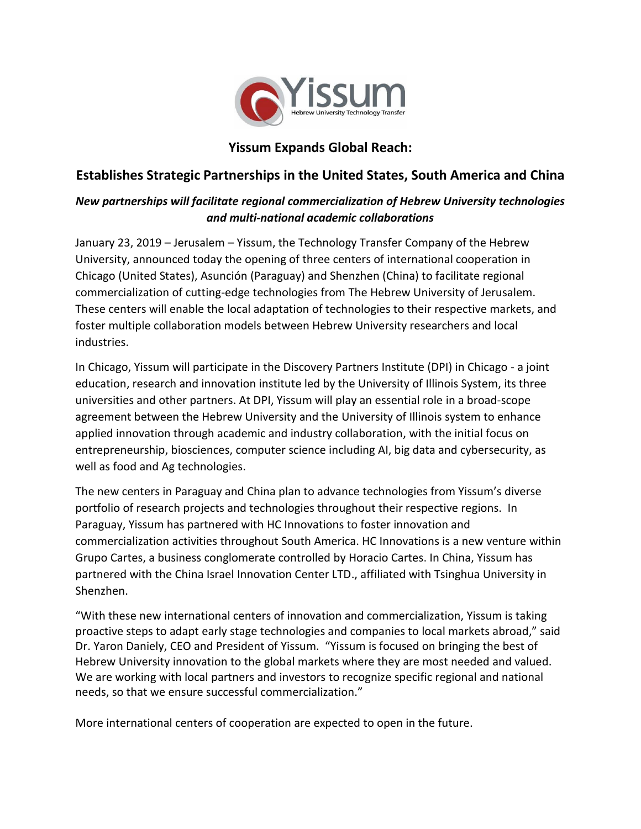

## **Yissum Expands Global Reach:**

## **Establishes Strategic Partnerships in the United States, South America and China**

## *New partnerships will facilitate regional commercialization of Hebrew University technologies and multi-national academic collaborations*

January 23, 2019 – Jerusalem – Yissum, the Technology Transfer Company of the Hebrew University, announced today the opening of three centers of international cooperation in Chicago (United States), Asunción (Paraguay) and Shenzhen (China) to facilitate regional commercialization of cutting-edge technologies from The Hebrew University of Jerusalem. These centers will enable the local adaptation of technologies to their respective markets, and foster multiple collaboration models between Hebrew University researchers and local industries.

In Chicago, Yissum will participate in the Discovery Partners Institute (DPI) in Chicago - a joint education, research and innovation institute led by the University of Illinois System, its three universities and other partners. At DPI, Yissum will play an essential role in a broad-scope agreement between the Hebrew University and the University of Illinois system to enhance applied innovation through academic and industry collaboration, with the initial focus on entrepreneurship, biosciences, computer science including AI, big data and cybersecurity, as well as food and Ag technologies.

The new centers in Paraguay and China plan to advance technologies from Yissum's diverse portfolio of research projects and technologies throughout their respective regions. In Paraguay, Yissum has partnered with HC Innovations to foster innovation and commercialization activities throughout South America. HC Innovations is a new venture within Grupo Cartes, a business conglomerate controlled by Horacio Cartes. In China, Yissum has partnered with the China Israel Innovation Center LTD., affiliated with Tsinghua University in Shenzhen.

"With these new international centers of innovation and commercialization, Yissum is taking proactive steps to adapt early stage technologies and companies to local markets abroad," said Dr. Yaron Daniely, CEO and President of Yissum. "Yissum is focused on bringing the best of Hebrew University innovation to the global markets where they are most needed and valued. We are working with local partners and investors to recognize specific regional and national needs, so that we ensure successful commercialization."

More international centers of cooperation are expected to open in the future.